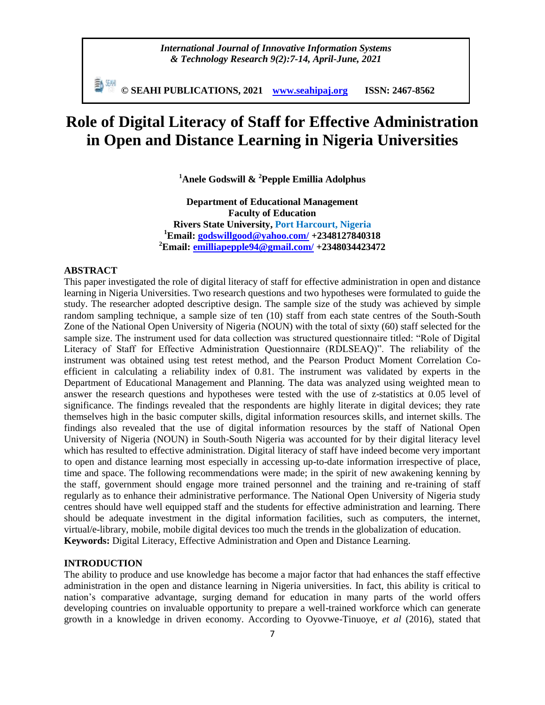*International Journal of Innovative Information Systems & Technology Research 9(2):7-14, April-June, 2021*

勤째 **© SEAHI PUBLICATIONS, 2021 [www.seahipaj.org](http://www.seahipaj.org/) ISSN: 2467-8562**

# **Role of Digital Literacy of Staff for Effective Administration in Open and Distance Learning in Nigeria Universities**

**<sup>1</sup>Anele Godswill & <sup>2</sup>Pepple Emillia Adolphus**

**Department of Educational Management Faculty of Education Rivers State University, Port Harcourt, Nigeria <sup>1</sup>Email: [godswillgood@yahoo.com/](mailto:godswillgood@yahoo.com/) +2348127840318 <sup>2</sup>Email: [emilliapepple94@gmail.com/](mailto:emilliapepple94@gmail.com/) +2348034423472**

#### **ABSTRACT**

This paper investigated the role of digital literacy of staff for effective administration in open and distance learning in Nigeria Universities. Two research questions and two hypotheses were formulated to guide the study. The researcher adopted descriptive design. The sample size of the study was achieved by simple random sampling technique, a sample size of ten (10) staff from each state centres of the South-South Zone of the National Open University of Nigeria (NOUN) with the total of sixty (60) staff selected for the sample size. The instrument used for data collection was structured questionnaire titled: "Role of Digital Literacy of Staff for Effective Administration Questionnaire (RDLSEAQ)". The reliability of the instrument was obtained using test retest method, and the Pearson Product Moment Correlation Coefficient in calculating a reliability index of 0.81. The instrument was validated by experts in the Department of Educational Management and Planning. The data was analyzed using weighted mean to answer the research questions and hypotheses were tested with the use of z-statistics at 0.05 level of significance. The findings revealed that the respondents are highly literate in digital devices; they rate themselves high in the basic computer skills, digital information resources skills, and internet skills. The findings also revealed that the use of digital information resources by the staff of National Open University of Nigeria (NOUN) in South-South Nigeria was accounted for by their digital literacy level which has resulted to effective administration. Digital literacy of staff have indeed become very important to open and distance learning most especially in accessing up-to-date information irrespective of place, time and space. The following recommendations were made; in the spirit of new awakening kenning by the staff, government should engage more trained personnel and the training and re-training of staff regularly as to enhance their administrative performance. The National Open University of Nigeria study centres should have well equipped staff and the students for effective administration and learning. There should be adequate investment in the digital information facilities, such as computers, the internet, virtual/e-library, mobile, mobile digital devices too much the trends in the globalization of education. **Keywords:** Digital Literacy, Effective Administration and Open and Distance Learning.

#### **INTRODUCTION**

The ability to produce and use knowledge has become a major factor that had enhances the staff effective administration in the open and distance learning in Nigeria universities. In fact, this ability is critical to nation's comparative advantage, surging demand for education in many parts of the world offers developing countries on invaluable opportunity to prepare a well-trained workforce which can generate growth in a knowledge in driven economy. According to Oyovwe-Tinuoye, *et al* (2016), stated that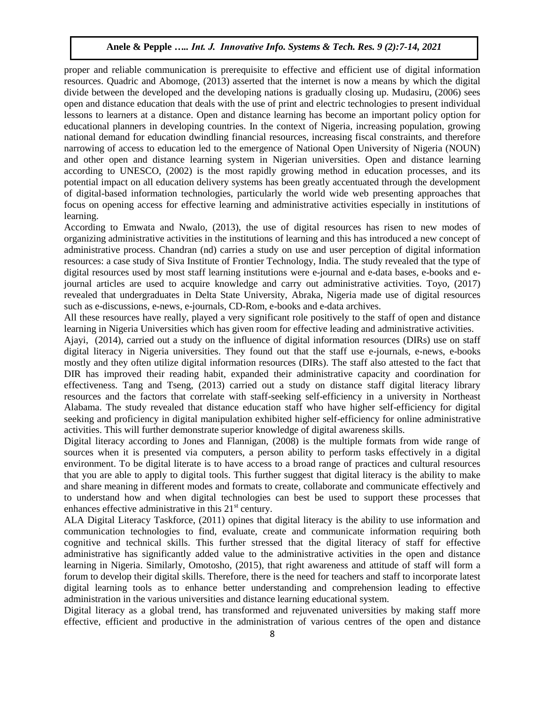proper and reliable communication is prerequisite to effective and efficient use of digital information resources. Quadric and Abomoge, (2013) asserted that the internet is now a means by which the digital divide between the developed and the developing nations is gradually closing up. Mudasiru, (2006) sees open and distance education that deals with the use of print and electric technologies to present individual lessons to learners at a distance. Open and distance learning has become an important policy option for educational planners in developing countries. In the context of Nigeria, increasing population, growing national demand for education dwindling financial resources, increasing fiscal constraints, and therefore narrowing of access to education led to the emergence of National Open University of Nigeria (NOUN) and other open and distance learning system in Nigerian universities. Open and distance learning according to UNESCO, (2002) is the most rapidly growing method in education processes, and its potential impact on all education delivery systems has been greatly accentuated through the development of digital-based information technologies, particularly the world wide web presenting approaches that focus on opening access for effective learning and administrative activities especially in institutions of learning.

According to Emwata and Nwalo, (2013), the use of digital resources has risen to new modes of organizing administrative activities in the institutions of learning and this has introduced a new concept of administrative process. Chandran (nd) carries a study on use and user perception of digital information resources: a case study of Siva Institute of Frontier Technology, India. The study revealed that the type of digital resources used by most staff learning institutions were e-journal and e-data bases, e-books and ejournal articles are used to acquire knowledge and carry out administrative activities. Toyo, (2017) revealed that undergraduates in Delta State University, Abraka, Nigeria made use of digital resources such as e-discussions, e-news, e-journals, CD-Rom, e-books and e-data archives.

All these resources have really, played a very significant role positively to the staff of open and distance learning in Nigeria Universities which has given room for effective leading and administrative activities.

Ajayi, (2014), carried out a study on the influence of digital information resources (DIRs) use on staff digital literacy in Nigeria universities. They found out that the staff use e-journals, e-news, e-books mostly and they often utilize digital information resources (DIRs). The staff also attested to the fact that DIR has improved their reading habit, expanded their administrative capacity and coordination for effectiveness. Tang and Tseng, (2013) carried out a study on distance staff digital literacy library resources and the factors that correlate with staff-seeking self-efficiency in a university in Northeast Alabama. The study revealed that distance education staff who have higher self-efficiency for digital seeking and proficiency in digital manipulation exhibited higher self-efficiency for online administrative activities. This will further demonstrate superior knowledge of digital awareness skills.

Digital literacy according to Jones and Flannigan, (2008) is the multiple formats from wide range of sources when it is presented via computers, a person ability to perform tasks effectively in a digital environment. To be digital literate is to have access to a broad range of practices and cultural resources that you are able to apply to digital tools. This further suggest that digital literacy is the ability to make and share meaning in different modes and formats to create, collaborate and communicate effectively and to understand how and when digital technologies can best be used to support these processes that enhances effective administrative in this  $21<sup>st</sup>$  century.

ALA Digital Literacy Taskforce, (2011) opines that digital literacy is the ability to use information and communication technologies to find, evaluate, create and communicate information requiring both cognitive and technical skills. This further stressed that the digital literacy of staff for effective administrative has significantly added value to the administrative activities in the open and distance learning in Nigeria. Similarly, Omotosho, (2015), that right awareness and attitude of staff will form a forum to develop their digital skills. Therefore, there is the need for teachers and staff to incorporate latest digital learning tools as to enhance better understanding and comprehension leading to effective administration in the various universities and distance learning educational system.

Digital literacy as a global trend, has transformed and rejuvenated universities by making staff more effective, efficient and productive in the administration of various centres of the open and distance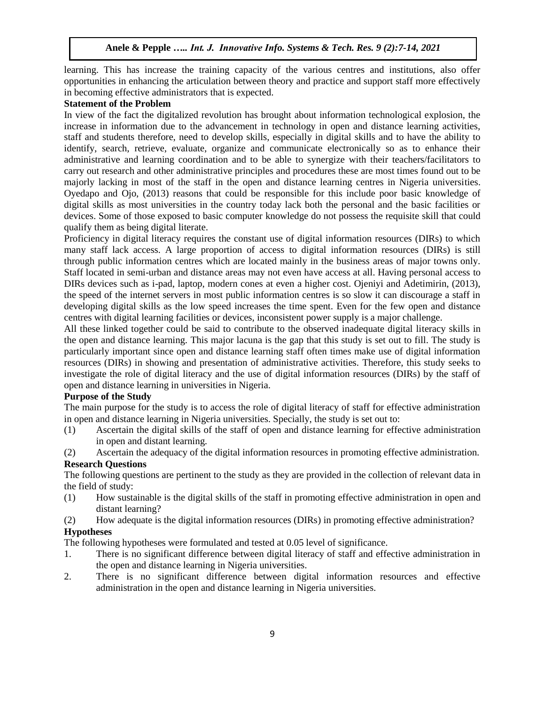learning. This has increase the training capacity of the various centres and institutions, also offer opportunities in enhancing the articulation between theory and practice and support staff more effectively in becoming effective administrators that is expected.

#### **Statement of the Problem**

In view of the fact the digitalized revolution has brought about information technological explosion, the increase in information due to the advancement in technology in open and distance learning activities, staff and students therefore, need to develop skills, especially in digital skills and to have the ability to identify, search, retrieve, evaluate, organize and communicate electronically so as to enhance their administrative and learning coordination and to be able to synergize with their teachers/facilitators to carry out research and other administrative principles and procedures these are most times found out to be majorly lacking in most of the staff in the open and distance learning centres in Nigeria universities. Oyedapo and Ojo, (2013) reasons that could be responsible for this include poor basic knowledge of digital skills as most universities in the country today lack both the personal and the basic facilities or devices. Some of those exposed to basic computer knowledge do not possess the requisite skill that could qualify them as being digital literate.

Proficiency in digital literacy requires the constant use of digital information resources (DIRs) to which many staff lack access. A large proportion of access to digital information resources (DIRs) is still through public information centres which are located mainly in the business areas of major towns only. Staff located in semi-urban and distance areas may not even have access at all. Having personal access to DIRs devices such as i-pad, laptop, modern cones at even a higher cost. Ojeniyi and Adetimirin, (2013), the speed of the internet servers in most public information centres is so slow it can discourage a staff in developing digital skills as the low speed increases the time spent. Even for the few open and distance centres with digital learning facilities or devices, inconsistent power supply is a major challenge.

All these linked together could be said to contribute to the observed inadequate digital literacy skills in the open and distance learning. This major lacuna is the gap that this study is set out to fill. The study is particularly important since open and distance learning staff often times make use of digital information resources (DIRs) in showing and presentation of administrative activities. Therefore, this study seeks to investigate the role of digital literacy and the use of digital information resources (DIRs) by the staff of open and distance learning in universities in Nigeria.

#### **Purpose of the Study**

The main purpose for the study is to access the role of digital literacy of staff for effective administration in open and distance learning in Nigeria universities. Specially, the study is set out to:

- (1) Ascertain the digital skills of the staff of open and distance learning for effective administration in open and distant learning.
- (2) Ascertain the adequacy of the digital information resources in promoting effective administration.

# **Research Questions**

The following questions are pertinent to the study as they are provided in the collection of relevant data in the field of study:

- (1) How sustainable is the digital skills of the staff in promoting effective administration in open and distant learning?
- (2) How adequate is the digital information resources (DIRs) in promoting effective administration? **Hypotheses**

The following hypotheses were formulated and tested at 0.05 level of significance.

- 1. There is no significant difference between digital literacy of staff and effective administration in the open and distance learning in Nigeria universities.
- 2. There is no significant difference between digital information resources and effective administration in the open and distance learning in Nigeria universities.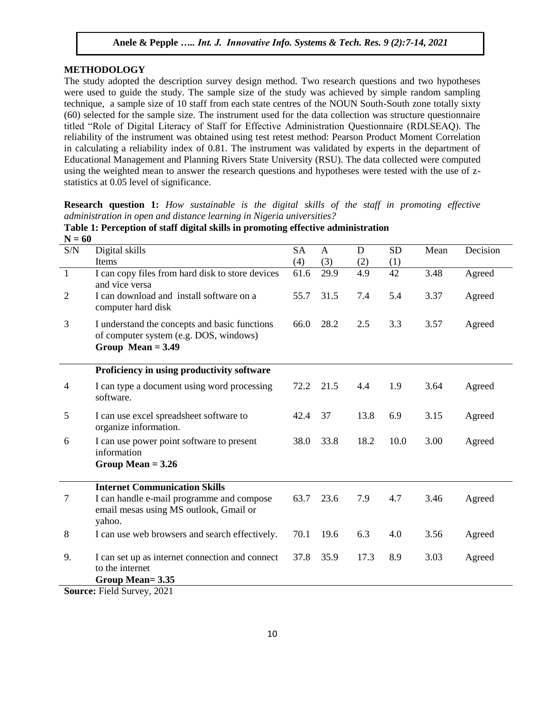### **METHODOLOGY**

The study adopted the description survey design method. Two research questions and two hypotheses were used to guide the study. The sample size of the study was achieved by simple random sampling technique, a sample size of 10 staff from each state centres of the NOUN South-South zone totally sixty (60) selected for the sample size. The instrument used for the data collection was structure questionnaire titled "Role of Digital Literacy of Staff for Effective Administration Questionnaire (RDLSEAQ). The reliability of the instrument was obtained using test retest method: Pearson Product Moment Correlation in calculating a reliability index of 0.81. The instrument was validated by experts in the department of Educational Management and Planning Rivers State University (RSU). The data collected were computed using the weighted mean to answer the research questions and hypotheses were tested with the use of zstatistics at 0.05 level of significance.

**Research question 1:** *How sustainable is the digital skills of the staff in promoting effective administration in open and distance learning in Nigeria universities?*

| $11 - 00$<br>$\ensuremath{\mathrm{S/N}}$ | Digital skills                                                                                                 | <b>SA</b> | $\mathbf{A}$ | D    | <b>SD</b> | Mean | Decision |
|------------------------------------------|----------------------------------------------------------------------------------------------------------------|-----------|--------------|------|-----------|------|----------|
|                                          | Items                                                                                                          | (4)       | (3)          | (2)  | (1)       |      |          |
| $\mathbf{1}$                             | I can copy files from hard disk to store devices<br>and vice versa                                             | 61.6      | 29.9         | 4.9  | 42        | 3.48 | Agreed   |
| $\overline{2}$                           | I can download and install software on a<br>computer hard disk                                                 | 55.7      | 31.5         | 7.4  | 5.4       | 3.37 | Agreed   |
| 3                                        | I understand the concepts and basic functions<br>of computer system (e.g. DOS, windows)<br>Group Mean $= 3.49$ | 66.0      | 28.2         | 2.5  | 3.3       | 3.57 | Agreed   |
|                                          | Proficiency in using productivity software                                                                     |           |              |      |           |      |          |
| $\overline{4}$                           | I can type a document using word processing<br>software.                                                       | 72.2      | 21.5         | 4.4  | 1.9       | 3.64 | Agreed   |
| 5                                        | I can use excel spreadsheet software to<br>organize information.                                               | 42.4      | 37           | 13.8 | 6.9       | 3.15 | Agreed   |
| 6                                        | I can use power point software to present<br>information                                                       | 38.0      | 33.8         | 18.2 | 10.0      | 3.00 | Agreed   |
|                                          | Group Mean $= 3.26$                                                                                            |           |              |      |           |      |          |
|                                          | <b>Internet Communication Skills</b>                                                                           |           |              |      |           |      |          |
| $\tau$                                   | I can handle e-mail programme and compose<br>email mesas using MS outlook, Gmail or<br>yahoo.                  | 63.7      | 23.6         | 7.9  | 4.7       | 3.46 | Agreed   |
| 8                                        | I can use web browsers and search effectively.                                                                 | 70.1      | 19.6         | 6.3  | 4.0       | 3.56 | Agreed   |
| 9.                                       | I can set up as internet connection and connect<br>to the internet                                             | 37.8      | 35.9         | 17.3 | 8.9       | 3.03 | Agreed   |
| $\sim$                                   | Group Mean= 3.35<br>$\Gamma$ ' 110<br>0.001                                                                    |           |              |      |           |      |          |

**Table 1: Perception of staff digital skills in promoting effective administration N = 60**

**Source:** Field Survey, 2021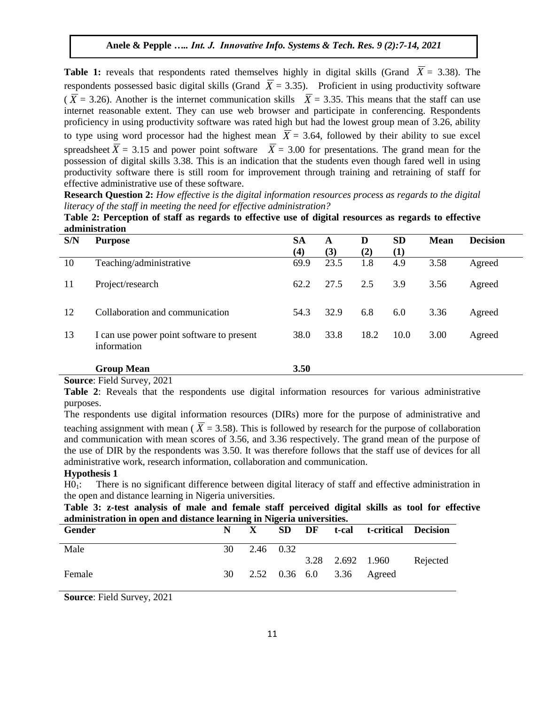**Table 1:** reveals that respondents rated themselves highly in digital skills (Grand  $\overline{X} = 3.38$ ). The respondents possessed basic digital skills (Grand  $\overline{X} = 3.35$ ). Proficient in using productivity software  $(\overline{X} = 3.26)$ . Another is the internet communication skills  $\overline{X} = 3.35$ . This means that the staff can use internet reasonable extent. They can use web browser and participate in conferencing. Respondents proficiency in using productivity software was rated high but had the lowest group mean of 3.26, ability to type using word processor had the highest mean  $X = 3.64$ , followed by their ability to sue excel spreadsheet  $X = 3.15$  and power point software  $X = 3.00$  for presentations. The grand mean for the possession of digital skills 3.38. This is an indication that the students even though fared well in using productivity software there is still room for improvement through training and retraining of staff for effective administrative use of these software.

**Research Question 2:** *How effective is the digital information resources process as regards to the digital literacy of the staff in meeting the need for effective administration?*

**Table 2: Perception of staff as regards to effective use of digital resources as regards to effective administration**

| S/N | <b>Purpose</b>                                           | <b>SA</b> | A    | D    | <b>SD</b> | <b>Mean</b> | <b>Decision</b> |
|-----|----------------------------------------------------------|-----------|------|------|-----------|-------------|-----------------|
|     |                                                          | (4)       | (3)  | (2)  | (1)       |             |                 |
| 10  | Teaching/administrative                                  | 69.9      | 23.5 | 1.8  | 4.9       | 3.58        | Agreed          |
| 11  | Project/research                                         | 62.2      | 27.5 | 2.5  | 3.9       | 3.56        | Agreed          |
| 12  | Collaboration and communication                          | 54.3      | 32.9 | 6.8  | 6.0       | 3.36        | Agreed          |
| 13  | I can use power point software to present<br>information | 38.0      | 33.8 | 18.2 | 10.0      | 3.00        | Agreed          |
|     | <b>Group Mean</b>                                        | 3.50      |      |      |           |             |                 |

#### **Source**: Field Survey, 2021

**Table 2**: Reveals that the respondents use digital information resources for various administrative purposes.

The respondents use digital information resources (DIRs) more for the purpose of administrative and teaching assignment with mean ( $X = 3.58$ ). This is followed by research for the purpose of collaboration and communication with mean scores of 3.56, and 3.36 respectively. The grand mean of the purpose of the use of DIR by the respondents was 3.50. It was therefore follows that the staff use of devices for all administrative work, research information, collaboration and communication.

#### **Hypothesis 1**

H0<sub>1</sub>: There is no significant difference between digital literacy of staff and effective administration in the open and distance learning in Nigeria universities.

**Table 3: z-test analysis of male and female staff perceived digital skills as tool for effective administration in open and distance learning in Nigeria universities.**

| Gender | N. |           |  |                  | SD DF t-cal t-critical Decision |          |
|--------|----|-----------|--|------------------|---------------------------------|----------|
| Male   | 30 | 2.46 0.32 |  |                  |                                 |          |
|        |    |           |  | 3.28 2.692 1.960 |                                 | Rejected |
| Female | 30 |           |  |                  | 2.52 0.36 6.0 3.36 Agreed       |          |

**Source**: Field Survey, 2021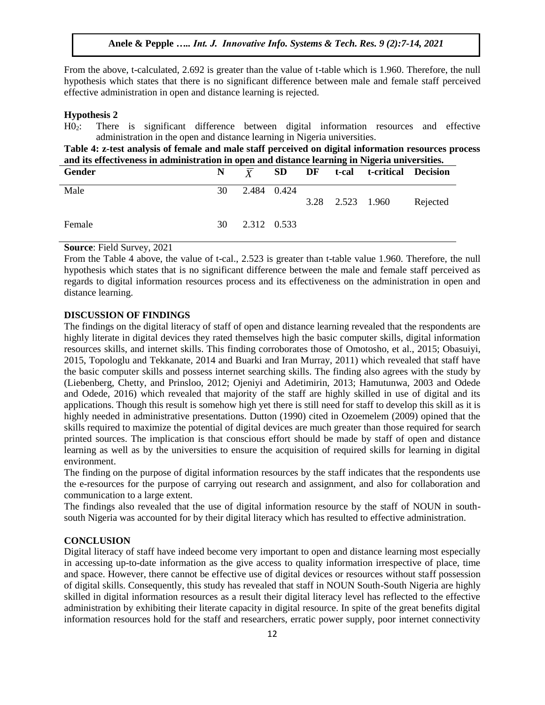From the above, t-calculated, 2.692 is greater than the value of t-table which is 1.960. Therefore, the null hypothesis which states that there is no significant difference between male and female staff perceived effective administration in open and distance learning is rejected.

#### **Hypothesis 2**

H02: There is significant difference between digital information resources and effective administration in the open and distance learning in Nigeria universities.

**Table 4: z-test analysis of female and male staff perceived on digital information resources process and its effectiveness in administration in open and distance learning in Nigeria universities.**

| Gender |    |                |  | $N \overline{X}$ SD DF t-cal t-critical Decision |          |
|--------|----|----------------|--|--------------------------------------------------|----------|
| Male   | 30 | 2.484 0.424    |  | 3.28 2.523 1.960                                 | Rejected |
| Female |    | 30 2.312 0.533 |  |                                                  |          |

#### **Source**: Field Survey, 2021

From the Table 4 above, the value of t-cal., 2.523 is greater than t-table value 1.960. Therefore, the null hypothesis which states that is no significant difference between the male and female staff perceived as regards to digital information resources process and its effectiveness on the administration in open and distance learning.

#### **DISCUSSION OF FINDINGS**

The findings on the digital literacy of staff of open and distance learning revealed that the respondents are highly literate in digital devices they rated themselves high the basic computer skills, digital information resources skills, and internet skills. This finding corroborates those of Omotosho, et al., 2015; Obasuiyi, 2015, Topologlu and Tekkanate, 2014 and Buarki and Iran Murray, 2011) which revealed that staff have the basic computer skills and possess internet searching skills. The finding also agrees with the study by (Liebenberg, Chetty, and Prinsloo, 2012; Ojeniyi and Adetimirin, 2013; Hamutunwa, 2003 and Odede and Odede, 2016) which revealed that majority of the staff are highly skilled in use of digital and its applications. Though this result is somehow high yet there is still need for staff to develop this skill as it is highly needed in administrative presentations. Dutton (1990) cited in Ozoemelem (2009) opined that the skills required to maximize the potential of digital devices are much greater than those required for search printed sources. The implication is that conscious effort should be made by staff of open and distance learning as well as by the universities to ensure the acquisition of required skills for learning in digital environment.

The finding on the purpose of digital information resources by the staff indicates that the respondents use the e-resources for the purpose of carrying out research and assignment, and also for collaboration and communication to a large extent.

The findings also revealed that the use of digital information resource by the staff of NOUN in southsouth Nigeria was accounted for by their digital literacy which has resulted to effective administration.

#### **CONCLUSION**

Digital literacy of staff have indeed become very important to open and distance learning most especially in accessing up-to-date information as the give access to quality information irrespective of place, time and space. However, there cannot be effective use of digital devices or resources without staff possession of digital skills. Consequently, this study has revealed that staff in NOUN South-South Nigeria are highly skilled in digital information resources as a result their digital literacy level has reflected to the effective administration by exhibiting their literate capacity in digital resource. In spite of the great benefits digital information resources hold for the staff and researchers, erratic power supply, poor internet connectivity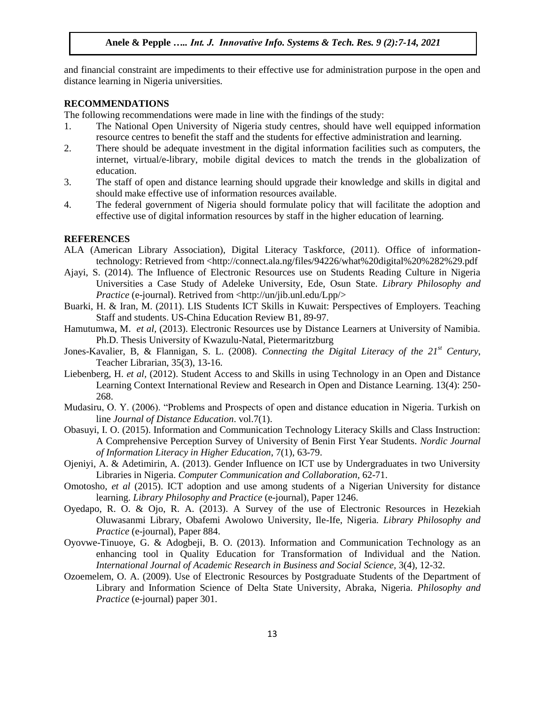and financial constraint are impediments to their effective use for administration purpose in the open and distance learning in Nigeria universities.

#### **RECOMMENDATIONS**

The following recommendations were made in line with the findings of the study:

- 1. The National Open University of Nigeria study centres, should have well equipped information resource centres to benefit the staff and the students for effective administration and learning.
- 2. There should be adequate investment in the digital information facilities such as computers, the internet, virtual/e-library, mobile digital devices to match the trends in the globalization of education.
- 3. The staff of open and distance learning should upgrade their knowledge and skills in digital and should make effective use of information resources available.
- 4. The federal government of Nigeria should formulate policy that will facilitate the adoption and effective use of digital information resources by staff in the higher education of learning.

#### **REFERENCES**

- ALA (American Library Association), Digital Literacy Taskforce, (2011). Office of informationtechnology: Retrieved from <http://connect.ala.ng/files/94226/what%20digital%20%282%29.pdf
- Ajayi, S. (2014). The Influence of Electronic Resources use on Students Reading Culture in Nigeria Universities a Case Study of Adeleke University, Ede, Osun State. *Library Philosophy and Practice* (e-journal). Retrived from <http://un/jib.unl.edu/Lpp/>
- Buarki, H. & Iran, M. (2011). LIS Students ICT Skills in Kuwait: Perspectives of Employers. Teaching Staff and students. US-China Education Review B1, 89-97.
- Hamutumwa, M. *et al,* (2013). Electronic Resources use by Distance Learners at University of Namibia. Ph.D. Thesis University of Kwazulu-Natal, Pietermaritzburg
- Jones-Kavalier, B, & Flannigan, S. L. (2008). *Connecting the Digital Literacy of the 21st Century*, Teacher Librarian, 35(3), 13-16.
- Liebenberg, H. *et al,* (2012). Student Access to and Skills in using Technology in an Open and Distance Learning Context International Review and Research in Open and Distance Learning. 13(4): 250- 268.
- Mudasiru, O. Y. (2006). "Problems and Prospects of open and distance education in Nigeria. Turkish on line *Journal of Distance Education*. vol.7(1).
- Obasuyi, I. O. (2015). Information and Communication Technology Literacy Skills and Class Instruction: A Comprehensive Perception Survey of University of Benin First Year Students. *Nordic Journal of Information Literacy in Higher Education*, 7(1), 63-79.
- Ojeniyi, A. & Adetimirin, A. (2013). Gender Influence on ICT use by Undergraduates in two University Libraries in Nigeria. *Computer Communication and Collaboration,* 62-71.
- Omotosho, *et al* (2015). ICT adoption and use among students of a Nigerian University for distance learning. *Library Philosophy and Practice* (e-journal), Paper 1246.
- Oyedapo, R. O. & Ojo, R. A. (2013). A Survey of the use of Electronic Resources in Hezekiah Oluwasanmi Library, Obafemi Awolowo University, Ile-Ife, Nigeria*. Library Philosophy and Practice* (e-journal), Paper 884.
- Oyovwe-Tinuoye, G. & Adogbeji, B. O. (2013). Information and Communication Technology as an enhancing tool in Quality Education for Transformation of Individual and the Nation. *International Journal of Academic Research in Business and Social Science,* 3(4), 12-32.
- Ozoemelem, O. A. (2009). Use of Electronic Resources by Postgraduate Students of the Department of Library and Information Science of Delta State University, Abraka, Nigeria. *Philosophy and Practice* (e-journal) paper 301.